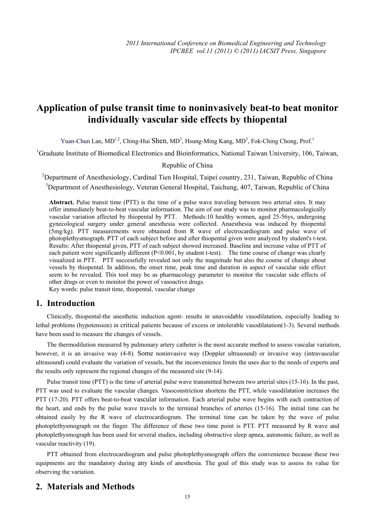# **Application of pulse transit time to noninvasively beat-to beat monitor individually vascular side effects by thiopental**

Yuan-Chun Lan, MD<sup>1,2</sup>, Ching-Hui Shen, MD<sup>3</sup>, Hsung-Ming Kang, MD<sup>3</sup>, Fok-Ching Chong, Prof.<sup>1</sup>

<sup>1</sup>Graduate Institute of Biomedical Electronics and Bioinformatics, National Taiwan University, 106, Taiwan,

#### Republic of China

<sup>2</sup>Department of Anesthesiology, Cardinal Tien Hospital, Taipei country, 231, Taiwan, Republic of China <sup>3</sup>Department of Anesthesiology, Veteran General Hospital, Taichung, 407, Taiwan, Republic of China

**Abstract.** Pulse transit time (PTT) is the time of a pulse wave traveling between two arterial sites. It may offer immediately beat-to-beat vascular information. The aim of our study was to monitor pharmacologically vascular variation affected by thiopental by PTT. Methods:10 healthy women, aged 25-56ys, undergoing gynecological surgery under general anesthesia were collected. Anaesthesia was induced by thiopental (5mg/kg). PTT measurements were obtained from R wave of electrocardiogram and pulse wave of photoplethysmograph. PTT of each subject before and after thiopental given were analyzed by student's t-test. Results: After thiopental given, PTT of each subject showed increased. Baseline and increase value of PTT of each patient were significantly different (P<0.001, by student t-test). The time course of change was clearly visualized in PTT. PTT successfully revealed not only the magnitude but also the course of change about vessels by thiopental. In addition, the onset time, peak time and duration in aspect of vascular side effect seem to be revealed. This tool may be as pharmacology parameter to monitor the vascular side effects of other drugs or even to monitor the power of vasoactive drugs.

Key words: pulse transit time, thiopental, vascular change

#### **1. Introduction**

Clinically, thiopental-the anesthetic induction agent- results in unavoidable vasodilatation, especially leading to lethal problems (hypotension) in critical patients because of excess or intolerable vasodilatation(1-3). Several methods have been used to measure the changes of vessels.

The thermodilution measured by pulmonary artery catheter is the most accurate method to assess vascular variation, however, it is an invasive way (4-8). Some noninvasive way (Doppler ultrasound) or invasive way (intravascular ultrasound) could evaluate the variation of vessels, but the inconvenience limits the uses due to the needs of experts and the results only represent the regional changes of the measured site (9-14).

Pulse transit time (PTT) is the time of arterial pulse wave transmitted between two arterial sites (15-16). In the past, PTT was used to evaluate the vascular changes. Vasoconstriction shortens the PTT, while vasodilatation increases the PTT (17-20). PTT offers beat-to-beat vascular information. Each arterial pulse wave begins with each contraction of the heart, and ends by the pulse wave travels to the terminal branches of arteries (15-16). The initial time can be obtained easily by the R wave of electrocardiogram. The terminal time can be taken by the wave of pulse photoplethysmograph on the finger. The difference of these two time point is PTT. PTT measured by R wave and photoplethysmograph has been used for several studies, including obstructive sleep apnea, autonomic failure, as well as vascular reactivity (19).

PTT obtained from electrocardiogram and pulse photoplethysmograph offers the convenience because these two equipments are the mandatory during any kinds of anesthesia. The goal of this study was to assess its value for observing the variation.

## **2. Materials and Methods**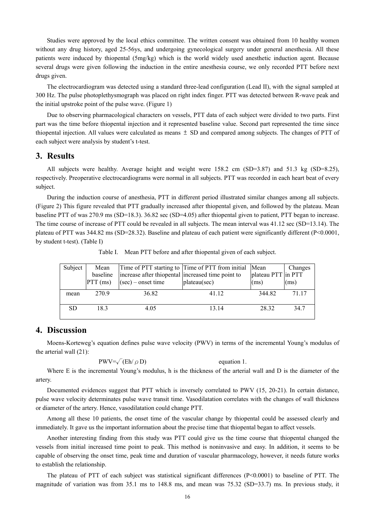Studies were approved by the local ethics committee. The written consent was obtained from 10 healthy women without any drug history, aged 25-56ys, and undergoing gynecological surgery under general anesthesia. All these patients were induced by thiopental (5mg/kg) which is the world widely used anesthetic induction agent. Because several drugs were given following the induction in the entire anesthesia course, we only recorded PTT before next drugs given.

The electrocardiogram was detected using a standard three-lead configuration (Lead II), with the signal sampled at 300 Hz. The pulse photoplethysmograph was placed on right index finger. PTT was detected between R-wave peak and the initial upstroke point of the pulse wave. (Figure 1)

Due to observing pharmacological characters on vessels, PTT data of each subject were divided to two parts. First part was the time before thiopental injection and it represented baseline value. Second part represented the time since thiopental injection. All values were calculated as means  $\pm$  SD and compared among subjects. The changes of PTT of each subject were analysis by student's t-test.

#### **3. Results**

All subjects were healthy. Average height and weight were 158.2 cm (SD=3.87) and 51.3 kg (SD=8.25), respectively. Preoperative electrocardiograms were normal in all subjects. PTT was recorded in each heart beat of every subject.

During the induction course of anesthesia, PTT in different period illustrated similar changes among all subjects. (Figure 2) This figure revealed that PTT gradually increased after thiopental given, and followed by the plateau. Mean baseline PTT of was 270.9 ms (SD=18.3). 36.82 sec (SD=4.05) after thiopental given to patient, PTT began to increase. The time course of increase of PTT could be revealed in all subjects. The mean interval was 41.12 sec (SD=13.14). The plateau of PTT was 344.82 ms (SD=28.32). Baseline and plateau of each patient were significantly different (P<0.0001, by student t-test). (Table I)

Table I. Mean PTT before and after thiopental given of each subject.

| Subject   | Mean<br>baseline<br>$PTT$ (ms) | increase after thiopental increased time point to<br>$(\sec)$ – onset time | Time of PTT starting to Time of PTT from initial Mean<br>plateau(sec) | plateau PTT in PTT<br>(ms) | Changes<br>(ms) |
|-----------|--------------------------------|----------------------------------------------------------------------------|-----------------------------------------------------------------------|----------------------------|-----------------|
| mean      | 270.9                          | 36.82                                                                      | 41 12                                                                 | 344.82                     | 71 17           |
| <b>SD</b> | 183                            | 4.05                                                                       | 13 14                                                                 | 28 32                      | 347             |

### **4. Discussion**

Moens-Korteweg's equation defines pulse wave velocity (PWV) in terms of the incremental Young's modulus of the arterial wall (21):

$$
PWV = \sqrt{(Eh/\rho D)}
$$
 equation 1.

Where E is the incremental Young's modulus, h is the thickness of the arterial wall and D is the diameter of the artery.

Documented evidences suggest that PTT which is inversely correlated to PWV (15, 20-21). In certain distance, pulse wave velocity determinates pulse wave transit time. Vasodilatation correlates with the changes of wall thickness or diameter of the artery. Hence, vasodilatation could change PTT.

Among all these 10 patients, the onset time of the vascular change by thiopental could be assessed clearly and immediately. It gave us the important information about the precise time that thiopental began to affect vessels.

Another interesting finding from this study was PTT could give us the time course that thiopental changed the vessels from initial increased time point to peak. This method is noninvasive and easy. In addition, it seems to be capable of observing the onset time, peak time and duration of vascular pharmacology, however, it needs future works to establish the relationship.

The plateau of PTT of each subject was statistical significant differences (P<0.0001) to baseline of PTT. The magnitude of variation was from 35.1 ms to 148.8 ms, and mean was 75.32 (SD=33.7) ms. In previous study, it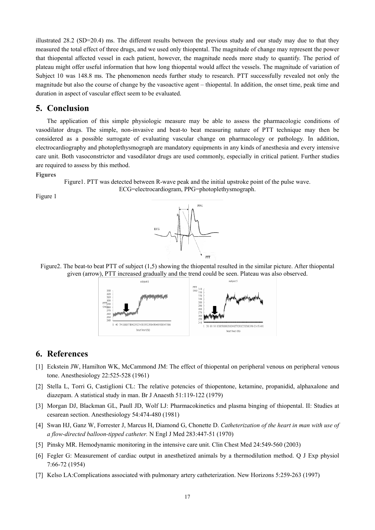illustrated 28.2 (SD=20.4) ms. The different results between the previous study and our study may due to that they measured the total effect of three drugs, and we used only thiopental. The magnitude of change may represent the power that thiopental affected vessel in each patient, however, the magnitude needs more study to quantify. The period of plateau might offer useful information that how long thiopental would affect the vessels. The magnitude of variation of Subject 10 was 148.8 ms. The phenomenon needs further study to research. PTT successfully revealed not only the magnitude but also the course of change by the vasoactive agent – thiopental. In addition, the onset time, peak time and duration in aspect of vascular effect seem to be evaluated.

#### **5. Conclusion**

The application of this simple physiologic measure may be able to assess the pharmacologic conditions of vasodilator drugs. The simple, non-invasive and beat-to beat measuring nature of PTT technique may then be considered as a possible surrogate of evaluating vascular change on pharmacology or pathology. In addition, electrocardiography and photoplethysmograph are mandatory equipments in any kinds of anesthesia and every intensive care unit. Both vasoconstrictor and vasodilator drugs are used commonly, especially in critical patient. Further studies are required to assess by this method.

#### **Figures**

Figure1. PTT was detected between R-wave peak and the initial upstroke point of the pulse wave. ECG=electrocardiogram, PPG=photoplethysmograph.

Figure 1



Figure2. The beat-to beat PTT of subject  $(1,5)$  showing the thiopental resulted in the similar picture. After thiopental given (arrow), PTT increased gradually and the trend could be seen. Plateau was also observed.



#### **6. References**

- [1] Eckstein JW, Hamilton WK, McCammond JM: The effect of thiopental on peripheral venous on peripheral venous tone. Anesthesiology 22:525-528 (1961)
- [2] Stella L, Torri G, Castiglioni CL: The relative potencies of thiopentone, ketamine, propanidid, alphaxalone and diazepam. A statistical study in man. Br J Anaesth 51:119-122 (1979)
- [3] Morgan DJ, Blackman GL, Paull JD, Wolf LJ: Pharmacokinetics and plasma binging of thiopental. II: Studies at cesarean section. Anesthesiology 54:474-480 (1981)
- [4] Swan HJ, Ganz W, Forrester J, Marcus H, Diamond G, Chonette D. *Catheterization of the heart in man with use of a flow-directed balloon-tipped catheter.* N Engl J Med 283:447-51 (1970)
- [5] Pinsky MR. Hemodynamic monitoring in the intensive care unit. Clin Chest Med 24:549-560 (2003)
- [6] Fegler G: Measurement of cardiac output in anesthetized animals by a thermodilution method. Q J Exp physiol 7:66-72 (1954)
- [7] Kelso LA:Complications associated with pulmonary artery catheterization. New Horizons 5:259-263 (1997)